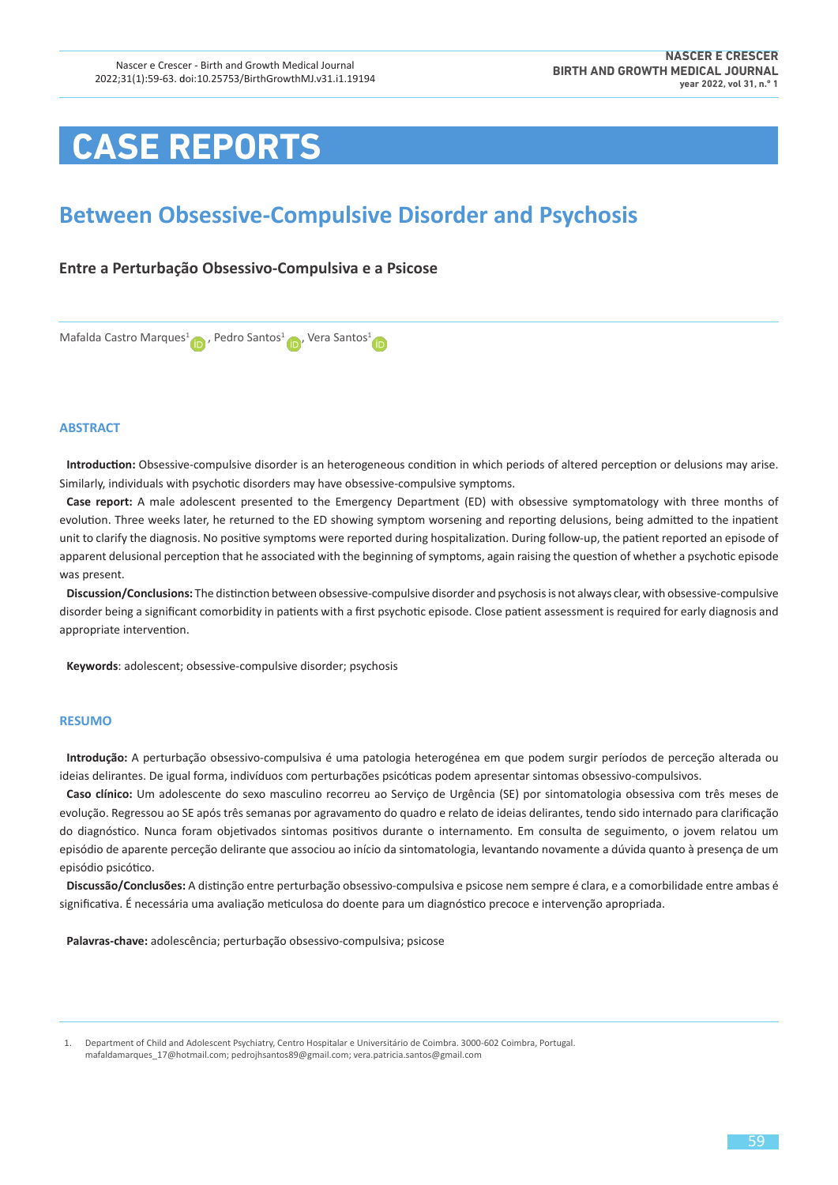# **CASE REPORTS**

# **Between Obsessive-Compulsive Disorder and Psychosis**

## **Entre a Perturbação Obsessivo-Compulsiva e a Psicose**



#### **ABSTRACT**

**Introduction:** Obsessive-compulsive disorder is an heterogeneous condition in which periods of altered perception or delusions may arise. Similarly, individuals with psychotic disorders may have obsessive-compulsive symptoms.

**Case report:** A male adolescent presented to the Emergency Department (ED) with obsessive symptomatology with three months of evolution. Three weeks later, he returned to the ED showing symptom worsening and reporting delusions, being admitted to the inpatient unit to clarify the diagnosis. No positive symptoms were reported during hospitalization. During follow-up, the patient reported an episode of apparent delusional perception that he associated with the beginning of symptoms, again raising the question of whether a psychotic episode was present.

**Discussion/Conclusions:** The distinction between obsessive-compulsive disorder and psychosis is not always clear, with obsessive-compulsive disorder being a significant comorbidity in patients with a first psychotic episode. Close patient assessment is required for early diagnosis and appropriate intervention.

**Keywords**: adolescent; obsessive-compulsive disorder; psychosis

#### **RESUMO**

**Introdução:** A perturbação obsessivo-compulsiva é uma patologia heterogénea em que podem surgir períodos de perceção alterada ou ideias delirantes. De igual forma, indivíduos com perturbações psicóticas podem apresentar sintomas obsessivo-compulsivos.

**Caso clínico:** Um adolescente do sexo masculino recorreu ao Serviço de Urgência (SE) por sintomatologia obsessiva com três meses de evolução. Regressou ao SE após três semanas por agravamento do quadro e relato de ideias delirantes, tendo sido internado para clarificação do diagnóstico. Nunca foram objetivados sintomas positivos durante o internamento. Em consulta de seguimento, o jovem relatou um episódio de aparente perceção delirante que associou ao início da sintomatologia, levantando novamente a dúvida quanto à presença de um episódio psicótico.

**Discussão/Conclusões:** A distinção entre perturbação obsessivo-compulsiva e psicose nem sempre é clara, e a comorbilidade entre ambas é significativa. É necessária uma avaliação meticulosa do doente para um diagnóstico precoce e intervenção apropriada.

**Palavras-chave:** adolescência; perturbação obsessivo-compulsiva; psicose

 1. Department of Child and Adolescent Psychiatry, Centro Hospitalar e Universitário de Coimbra. 3000-602 Coimbra, Portugal. [mafaldamarques\\_17@hotmail.com](mailto:mafaldamarques_17@hotmail.com); [pedrojhsantos89@gmail.com](mailto:pedrojhsantos89@gmail.com); [vera.patricia.santos@gmail.com](mailto:vera.patricia.santos@gmail.com)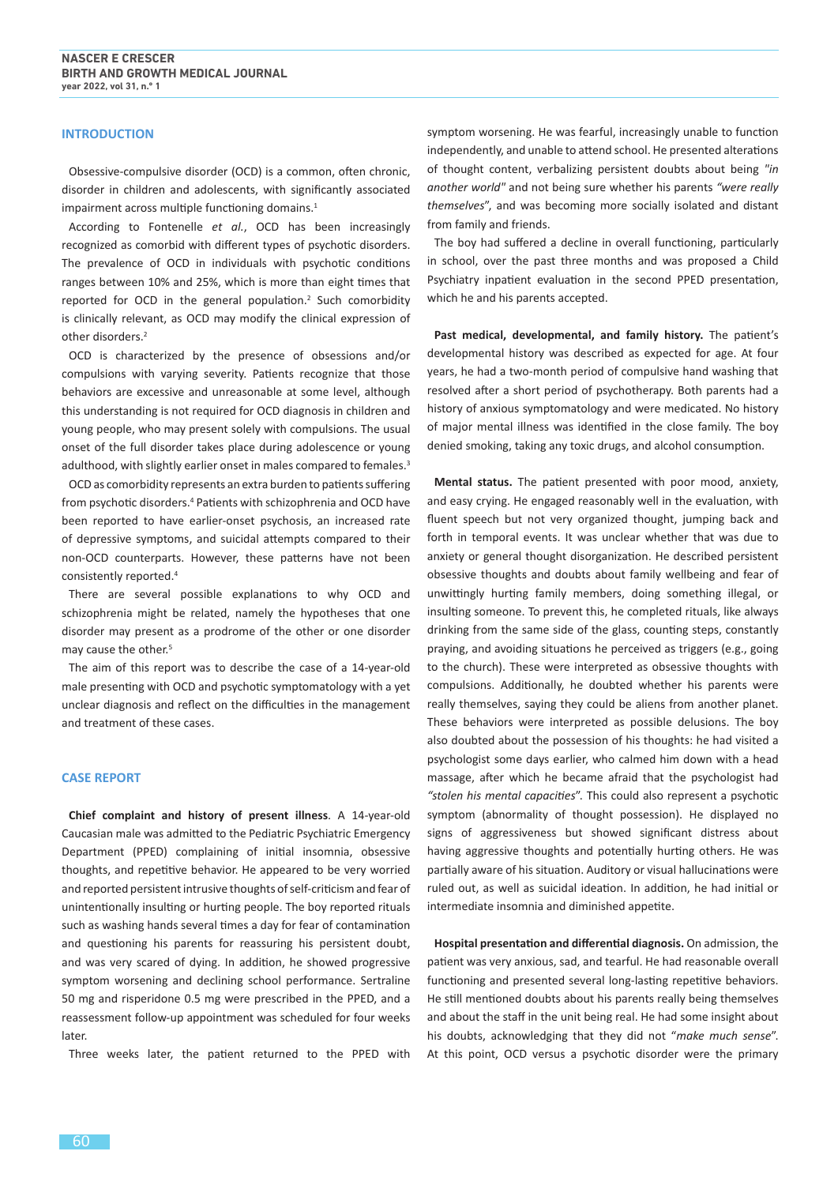#### **INTRODUCTION**

Obsessive-compulsive disorder (OCD) is a common, often chronic, disorder in children and adolescents, with significantly associated impairment across multiple functioning domains.<sup>1</sup>

According to Fontenelle *et al.*, OCD has been increasingly recognized as comorbid with different types of psychotic disorders. The prevalence of OCD in individuals with psychotic conditions ranges between 10% and 25%, which is more than eight times that reported for OCD in the general population.<sup>2</sup> Such comorbidity is clinically relevant, as OCD may modify the clinical expression of other disorders.<sup>2</sup>

OCD is characterized by the presence of obsessions and/or compulsions with varying severity. Patients recognize that those behaviors are excessive and unreasonable at some level, although this understanding is not required for OCD diagnosis in children and young people, who may present solely with compulsions. The usual onset of the full disorder takes place during adolescence or young adulthood, with slightly earlier onset in males compared to females.<sup>3</sup>

OCD as comorbidity represents an extra burden to patients suffering from psychotic disorders.<sup>4</sup> Patients with schizophrenia and OCD have been reported to have earlier-onset psychosis, an increased rate of depressive symptoms, and suicidal attempts compared to their non-OCD counterparts. However, these patterns have not been consistently reported.<sup>4</sup>

There are several possible explanations to why OCD and schizophrenia might be related, namely the hypotheses that one disorder may present as a prodrome of the other or one disorder may cause the other.<sup>5</sup>

The aim of this report was to describe the case of a 14-year-old male presenting with OCD and psychotic symptomatology with a yet unclear diagnosis and reflect on the difficulties in the management and treatment of these cases.

#### **CASE REPORT**

**Chief complaint and history of present illness**. A 14-year-old Caucasian male was admitted to the Pediatric Psychiatric Emergency Department (PPED) complaining of initial insomnia, obsessive thoughts, and repetitive behavior. He appeared to be very worried and reported persistent intrusive thoughts of self-criticism and fear of unintentionally insulting or hurting people. The boy reported rituals such as washing hands several times a day for fear of contamination and questioning his parents for reassuring his persistent doubt, and was very scared of dying. In addition, he showed progressive symptom worsening and declining school performance. Sertraline 50 mg and risperidone 0.5 mg were prescribed in the PPED, and a reassessment follow-up appointment was scheduled for four weeks later.

Three weeks later, the patient returned to the PPED with

symptom worsening. He was fearful, increasingly unable to function independently, and unable to attend school. He presented alterations of thought content, verbalizing persistent doubts about being *"in another world"* and not being sure whether his parents *"were really themselves*", and was becoming more socially isolated and distant from family and friends.

The boy had suffered a decline in overall functioning, particularly in school, over the past three months and was proposed a Child Psychiatry inpatient evaluation in the second PPED presentation, which he and his parents accepted.

**Past medical, developmental, and family history.** The patient's developmental history was described as expected for age. At four years, he had a two-month period of compulsive hand washing that resolved after a short period of psychotherapy. Both parents had a history of anxious symptomatology and were medicated. No history of major mental illness was identified in the close family. The boy denied smoking, taking any toxic drugs, and alcohol consumption.

**Mental status.** The patient presented with poor mood, anxiety, and easy crying. He engaged reasonably well in the evaluation, with fluent speech but not very organized thought, jumping back and forth in temporal events. It was unclear whether that was due to anxiety or general thought disorganization. He described persistent obsessive thoughts and doubts about family wellbeing and fear of unwittingly hurting family members, doing something illegal, or insulting someone. To prevent this, he completed rituals, like always drinking from the same side of the glass, counting steps, constantly praying, and avoiding situations he perceived as triggers (e.g., going to the church). These were interpreted as obsessive thoughts with compulsions. Additionally, he doubted whether his parents were really themselves, saying they could be aliens from another planet. These behaviors were interpreted as possible delusions. The boy also doubted about the possession of his thoughts: he had visited a psychologist some days earlier, who calmed him down with a head massage, after which he became afraid that the psychologist had *"stolen his mental capacities*". This could also represent a psychotic symptom (abnormality of thought possession). He displayed no signs of aggressiveness but showed significant distress about having aggressive thoughts and potentially hurting others. He was partially aware of his situation. Auditory or visual hallucinations were ruled out, as well as suicidal ideation. In addition, he had initial or intermediate insomnia and diminished appetite.

**Hospital presentation and differential diagnosis.** On admission, the patient was very anxious, sad, and tearful. He had reasonable overall functioning and presented several long-lasting repetitive behaviors. He still mentioned doubts about his parents really being themselves and about the staff in the unit being real. He had some insight about his doubts, acknowledging that they did not "*make much sense*". At this point, OCD versus a psychotic disorder were the primary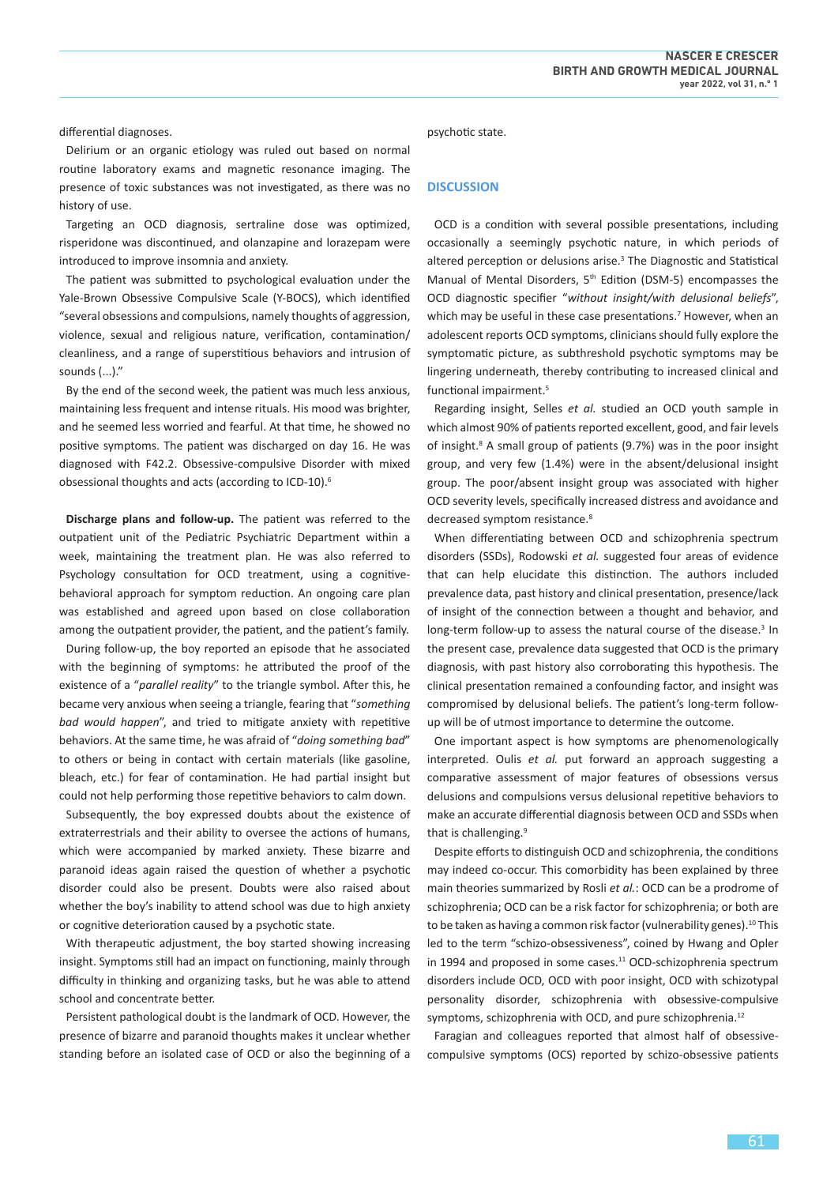differential diagnoses.

Delirium or an organic etiology was ruled out based on normal routine laboratory exams and magnetic resonance imaging. The presence of toxic substances was not investigated, as there was no history of use.

Targeting an OCD diagnosis, sertraline dose was optimized, risperidone was discontinued, and olanzapine and lorazepam were introduced to improve insomnia and anxiety.

The patient was submitted to psychological evaluation under the Yale-Brown Obsessive Compulsive Scale (Y-BOCS), which identified "several obsessions and compulsions, namely thoughts of aggression, violence, sexual and religious nature, verification, contamination/ cleanliness, and a range of superstitious behaviors and intrusion of sounds (...)."

By the end of the second week, the patient was much less anxious, maintaining less frequent and intense rituals. His mood was brighter, and he seemed less worried and fearful. At that time, he showed no positive symptoms. The patient was discharged on day 16. He was diagnosed with F42.2. Obsessive-compulsive Disorder with mixed obsessional thoughts and acts (according to ICD-10).<sup>6</sup>

**Discharge plans and follow-up.** The patient was referred to the outpatient unit of the Pediatric Psychiatric Department within a week, maintaining the treatment plan. He was also referred to Psychology consultation for OCD treatment, using a cognitivebehavioral approach for symptom reduction. An ongoing care plan was established and agreed upon based on close collaboration among the outpatient provider, the patient, and the patient's family.

During follow-up, the boy reported an episode that he associated with the beginning of symptoms: he attributed the proof of the existence of a "*parallel reality*" to the triangle symbol. After this, he became very anxious when seeing a triangle, fearing that "*something bad would happen*", and tried to mitigate anxiety with repetitive behaviors. At the same time, he was afraid of "*doing something bad*" to others or being in contact with certain materials (like gasoline, bleach, etc.) for fear of contamination. He had partial insight but could not help performing those repetitive behaviors to calm down.

Subsequently, the boy expressed doubts about the existence of extraterrestrials and their ability to oversee the actions of humans, which were accompanied by marked anxiety. These bizarre and paranoid ideas again raised the question of whether a psychotic disorder could also be present. Doubts were also raised about whether the boy's inability to attend school was due to high anxiety or cognitive deterioration caused by a psychotic state.

With therapeutic adjustment, the boy started showing increasing insight. Symptoms still had an impact on functioning, mainly through difficulty in thinking and organizing tasks, but he was able to attend school and concentrate better.

Persistent pathological doubt is the landmark of OCD. However, the presence of bizarre and paranoid thoughts makes it unclear whether standing before an isolated case of OCD or also the beginning of a psychotic state.

#### **DISCUSSION**

OCD is a condition with several possible presentations, including occasionally a seemingly psychotic nature, in which periods of altered perception or delusions arise.<sup>3</sup> The Diagnostic and Statistical Manual of Mental Disorders, 5<sup>th</sup> Edition (DSM-5) encompasses the OCD diagnostic specifier "*without insight/with delusional beliefs*", which may be useful in these case presentations.<sup>7</sup> However, when an adolescent reports OCD symptoms, clinicians should fully explore the symptomatic picture, as subthreshold psychotic symptoms may be lingering underneath, thereby contributing to increased clinical and functional impairment.5

Regarding insight, Selles *et al.* studied an OCD youth sample in which almost 90% of patients reported excellent, good, and fair levels of insight.<sup>8</sup> A small group of patients (9.7%) was in the poor insight group, and very few (1.4%) were in the absent/delusional insight group. The poor/absent insight group was associated with higher OCD severity levels, specifically increased distress and avoidance and decreased symptom resistance.<sup>8</sup>

When differentiating between OCD and schizophrenia spectrum disorders (SSDs), Rodowski *et al.* suggested four areas of evidence that can help elucidate this distinction. The authors included prevalence data, past history and clinical presentation, presence/lack of insight of the connection between a thought and behavior, and long-term follow-up to assess the natural course of the disease.<sup>3</sup> In the present case, prevalence data suggested that OCD is the primary diagnosis, with past history also corroborating this hypothesis. The clinical presentation remained a confounding factor, and insight was compromised by delusional beliefs. The patient's long-term followup will be of utmost importance to determine the outcome.

One important aspect is how symptoms are phenomenologically interpreted. Oulis *et al.* put forward an approach suggesting a comparative assessment of major features of obsessions versus delusions and compulsions versus delusional repetitive behaviors to make an accurate differential diagnosis between OCD and SSDs when that is challenging.<sup>9</sup>

Despite efforts to distinguish OCD and schizophrenia, the conditions may indeed co-occur. This comorbidity has been explained by three main theories summarized by Rosli *et al.*: OCD can be a prodrome of schizophrenia; OCD can be a risk factor for schizophrenia; or both are to be taken as having a common risk factor (vulnerability genes).<sup>10</sup> This led to the term "schizo-obsessiveness", coined by Hwang and Opler in 1994 and proposed in some cases.<sup>11</sup> OCD-schizophrenia spectrum disorders include OCD, OCD with poor insight, OCD with schizotypal personality disorder, schizophrenia with obsessive-compulsive symptoms, schizophrenia with OCD, and pure schizophrenia.<sup>12</sup>

Faragian and colleagues reported that almost half of obsessivecompulsive symptoms (OCS) reported by schizo-obsessive patients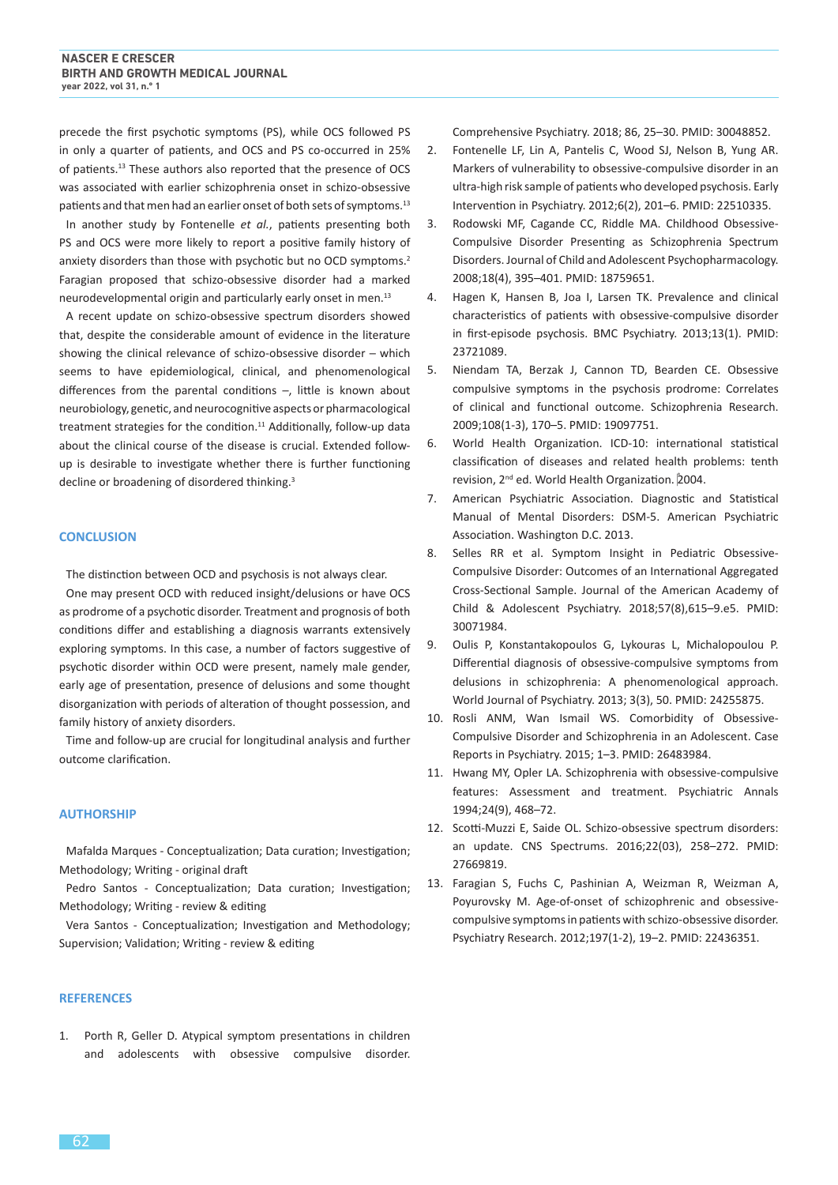precede the first psychotic symptoms (PS), while OCS followed PS in only a quarter of patients, and OCS and PS co-occurred in 25% of patients.<sup>13</sup> These authors also reported that the presence of OCS was associated with earlier schizophrenia onset in schizo-obsessive patients and that men had an earlier onset of both sets of symptoms.<sup>13</sup> In another study by Fontenelle *et al.*, patients presenting both PS and OCS were more likely to report a positive family history of anxiety disorders than those with psychotic but no OCD symptoms.<sup>2</sup> Faragian proposed that schizo-obsessive disorder had a marked neurodevelopmental origin and particularly early onset in men.<sup>13</sup>

A recent update on schizo-obsessive spectrum disorders showed that, despite the considerable amount of evidence in the literature showing the clinical relevance of schizo-obsessive disorder - which seems to have epidemiological, clinical, and phenomenological differences from the parental conditions -, little is known about neurobiology, genetic, and neurocognitive aspects or pharmacological treatment strategies for the condition.<sup>11</sup> Additionally, follow-up data about the clinical course of the disease is crucial. Extended followup is desirable to investigate whether there is further functioning decline or broadening of disordered thinking.<sup>3</sup>

#### **CONCLUSION**

The distinction between OCD and psychosis is not always clear. One may present OCD with reduced insight/delusions or have OCS as prodrome of a psychotic disorder. Treatment and prognosis of both conditions differ and establishing a diagnosis warrants extensively exploring symptoms. In this case, a number of factors suggestive of psychotic disorder within OCD were present, namely male gender, early age of presentation, presence of delusions and some thought disorganization with periods of alteration of thought possession, and family history of anxiety disorders.

Time and follow-up are crucial for longitudinal analysis and further outcome clarification.

#### **AUTHORSHIP**

Mafalda Marques - Conceptualization; Data curation; Investigation; Methodology; Writing - original draft

Pedro Santos - Conceptualization; Data curation; Investigation; Methodology; Writing - review & editing

Vera Santos - Conceptualization; Investigation and Methodology; Supervision; Validation; Writing - review & editing

#### **REFERENCES**

1. Porth R, Geller D. Atypical symptom presentations in children and adolescents with obsessive compulsive disorder.

Comprehensive Psychiatry. 2018; 86, 25–30. PMID: 30048852.

- 2. Fontenelle LF, Lin A, Pantelis C, Wood SJ, Nelson B, Yung AR. Markers of vulnerability to obsessive-compulsive disorder in an ultra-high risk sample of patients who developed psychosis. Early Intervention in Psychiatry. 2012;6(2), 201–6. PMID: 22510335.
- 3. Rodowski MF, Cagande CC, Riddle MA. Childhood Obsessive-Compulsive Disorder Presenting as Schizophrenia Spectrum Disorders. Journal of Child and Adolescent Psychopharmacology. 2008;18(4), 395–401. PMID: 18759651.
- 4. Hagen K, Hansen B, Joa I, Larsen TK. Prevalence and clinical characteristics of patients with obsessive-compulsive disorder in first-episode psychosis. BMC Psychiatry. 2013;13(1). PMID: 23721089.
- 5. Niendam TA, Berzak J, Cannon TD, Bearden CE. Obsessive compulsive symptoms in the psychosis prodrome: Correlates of clinical and functional outcome. Schizophrenia Research. 2009;108(1-3), 170–5. PMID: 19097751.
- 6. World Health Organization. ICD-10: international statistical classification of diseases and related health problems: tenth revision, 2<sup>nd</sup> ed. World Health Organization. 2004.
- 7. American Psychiatric Association. Diagnostic and Statistical Manual of Mental Disorders: DSM-5. American Psychiatric Association. Washington D.C. 2013.
- 8. Selles RR et al. Symptom Insight in Pediatric Obsessive-Compulsive Disorder: Outcomes of an International Aggregated Cross-Sectional Sample. Journal of the American Academy of Child & Adolescent Psychiatry. 2018;57(8),615–9.e5. PMID: 30071984.
- 9. Oulis P, Konstantakopoulos G, Lykouras L, Michalopoulou P. Differential diagnosis of obsessive-compulsive symptoms from delusions in schizophrenia: A phenomenological approach. World Journal of Psychiatry. 2013; 3(3), 50. PMID: 24255875.
- 10. Rosli ANM, Wan Ismail WS. Comorbidity of Obsessive-Compulsive Disorder and Schizophrenia in an Adolescent. Case Reports in Psychiatry. 2015; 1–3. PMID: 26483984.
- 11. Hwang MY, Opler LA. Schizophrenia with obsessive-compulsive features: Assessment and treatment. Psychiatric Annals 1994;24(9), 468–72.
- 12. Scotti-Muzzi E, Saide OL. Schizo-obsessive spectrum disorders: an update. CNS Spectrums. 2016;22(03), 258–272. PMID: 27669819.
- 13. Faragian S, Fuchs C, Pashinian A, Weizman R, Weizman A, Poyurovsky M. Age-of-onset of schizophrenic and obsessivecompulsive symptoms in patients with schizo-obsessive disorder. Psychiatry Research. 2012;197(1-2), 19–2. PMID: 22436351.